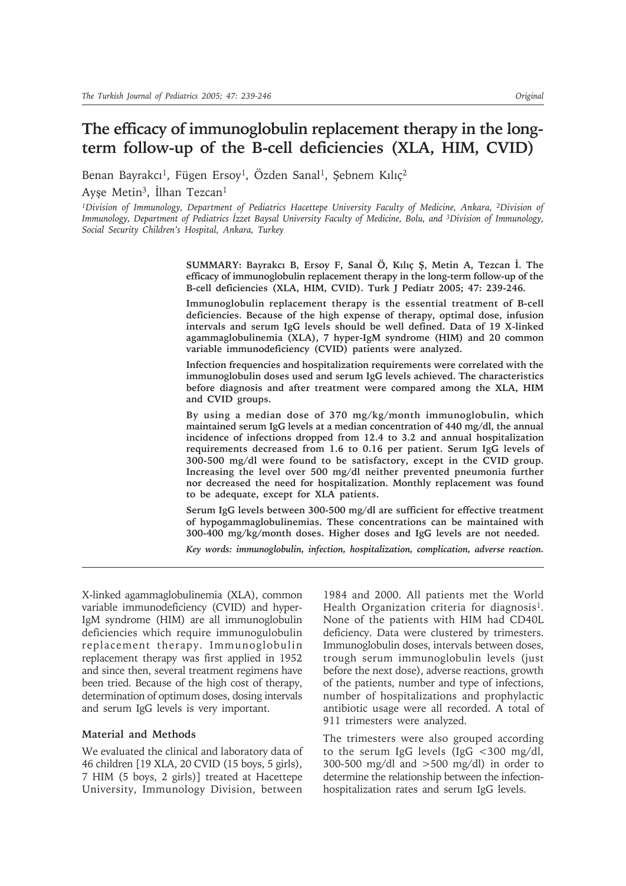# **The efficacy of immunoglobulin replacement therapy in the longterm follow-up of the B-cell deficiencies (XLA, HIM, CVID)**

Benan Bayrakcı<sup>1</sup>, Fügen Ersoy<sup>1</sup>, Özden Sanal<sup>1</sup>, Şebnem Kılıç<sup>2</sup>

Ayşe Metin<sup>3</sup>, İlhan Tezcan<sup>1</sup>

*1Division of Immunology, Department of Pediatrics Hacettepe University Faculty of Medicine, Ankara, <sup>2</sup>Division of Immunology, Department of Pediatrics İzzet Baysal University Faculty of Medicine, Bolu, and 3Division of Immunology, Social Security Children's Hospital, Ankara, Turkey*

> **SUMMARY: Bayrakcı B, Ersoy F, Sanal Ö, Kılıç Ş, Metin A, Tezcan İ. The efficacy of immunoglobulin replacement therapy in the long-term follow-up of the B-cell deficiencies (XLA, HIM, CVID). Turk J Pediatr 2005; 47: 239-246.**

> **Immunoglobulin replacement therapy is the essential treatment of B-cell deficiencies. Because of the high expense of therapy, optimal dose, infusion intervals and serum IgG levels should be well defined. Data of 19 X-linked agammaglobulinemia (XLA), 7 hyper-IgM syndrome (HIM) and 20 common variable immunodeficiency (CVID) patients were analyzed.**

> **Infection frequencies and hospitalization requirements were correlated with the immunoglobulin doses used and serum IgG levels achieved. The characteristics before diagnosis and after treatment were compared among the XLA, HIM and CVID groups.**

> **By using a median dose of 370 mg/kg/month immunoglobulin, which maintained serum IgG levels at a median concentration of 440 mg/dl, the annual incidence of infections dropped from 12.4 to 3.2 and annual hospitalization requirements decreased from 1.6 to 0.16 per patient. Serum IgG levels of 300-500 mg/dl were found to be satisfactory, except in the CVID group. Increasing the level over 500 mg/dl neither prevented pneumonia further nor decreased the need for hospitalization. Monthly replacement was found to be adequate, except for XLA patients.**

> **Serum IgG levels between 300-500 mg/dl are sufficient for effective treatment of hypogammaglobulinemias. These concentrations can be maintained with 300-400 mg/kg/month doses. Higher doses and IgG levels are not needed.**

> *Key words: immunoglobulin, infection, hospitalization, complication, adverse reaction.*

X-linked agammaglobulinemia (XLA), common variable immunodeficiency (CVID) and hyper-IgM syndrome (HIM) are all immunoglobulin deficiencies which require immunogulobulin replacement therapy. Immunoglobulin replacement therapy was first applied in 1952 and since then, several treatment regimens have been tried. Because of the high cost of therapy, determination of optimum doses, dosing intervals and serum IgG levels is very important.

#### **Material and Methods**

We evaluated the clinical and laboratory data of 46 children [19 XLA, 20 CVID (15 boys, 5 girls), 7 HIM (5 boys, 2 girls)] treated at Hacettepe University, Immunology Division, between

1984 and 2000. All patients met the World Health Organization criteria for diagnosis<sup>1</sup>. None of the patients with HIM had CD40L deficiency. Data were clustered by trimesters. Immunoglobulin doses, intervals between doses, trough serum immunoglobulin levels (just before the next dose), adverse reactions, growth of the patients, number and type of infections, number of hospitalizations and prophylactic antibiotic usage were all recorded. A total of 911 trimesters were analyzed.

The trimesters were also grouped according to the serum IgG levels (IgG <300 mg/dl, 300-500 mg/dl and  $>500$  mg/dl) in order to determine the relationship between the infectionhospitalization rates and serum IgG levels.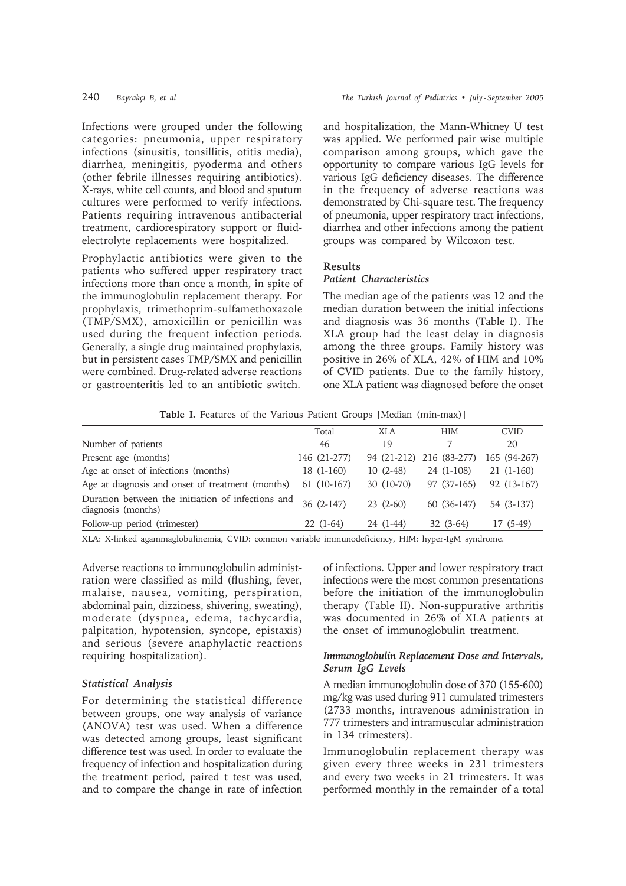Infections were grouped under the following categories: pneumonia, upper respiratory infections (sinusitis, tonsillitis, otitis media), diarrhea, meningitis, pyoderma and others (other febrile illnesses requiring antibiotics). X-rays, white cell counts, and blood and sputum cultures were performed to verify infections. Patients requiring intravenous antibacterial treatment, cardiorespiratory support or fluidelectrolyte replacements were hospitalized.

Prophylactic antibiotics were given to the patients who suffered upper respiratory tract infections more than once a month, in spite of the immunoglobulin replacement therapy. For prophylaxis, trimethoprim-sulfamethoxazole (TMP/SMX), amoxicillin or penicillin was used during the frequent infection periods. Generally, a single drug maintained prophylaxis, but in persistent cases TMP/SMX and penicillin were combined. Drug-related adverse reactions or gastroenteritis led to an antibiotic switch.

and hospitalization, the Mann-Whitney U test was applied. We performed pair wise multiple comparison among groups, which gave the opportunity to compare various IgG levels for various IgG deficiency diseases. The difference in the frequency of adverse reactions was demonstrated by Chi-square test. The frequency of pneumonia, upper respiratory tract infections, diarrhea and other infections among the patient groups was compared by Wilcoxon test.

## **Results**

# *Patient Characteristics*

The median age of the patients was 12 and the median duration between the initial infections and diagnosis was 36 months (Table I). The XLA group had the least delay in diagnosis among the three groups. Family history was positive in 26% of XLA, 42% of HIM and 10% of CVID patients. Due to the family history, one XLA patient was diagnosed before the onset

**Table I.** Features of the Various Patient Groups [Median (min-max)]

|                                                                         | Total        | XLA         | <b>HIM</b>               | <b>CVID</b>    |
|-------------------------------------------------------------------------|--------------|-------------|--------------------------|----------------|
| Number of patients                                                      | 46           | 19          |                          | 20             |
| Present age (months)                                                    | 146 (21-277) |             | 94 (21-212) 216 (83-277) | 165 (94-267)   |
| Age at onset of infections (months)                                     | $18(1-160)$  | $10(2-48)$  | 24 (1-108)               | $21(1-160)$    |
| Age at diagnosis and onset of treatment (months)                        | $61(10-167)$ | $30(10-70)$ | 97 (37-165)              | 92 (13-167)    |
| Duration between the initiation of infections and<br>diagnosis (months) | $36(2-147)$  | $23(2-60)$  | 60 (36-147)              | 54 (3-137)     |
| Follow-up period (trimester)                                            | $22(1-64)$   | 24 (1-44)   | $32(3-64)$               | $(5-49)$<br>17 |

XLA: X-linked agammaglobulinemia, CVID: common variable immunodeficiency, HIM: hyper-IgM syndrome.

Adverse reactions to immunoglobulin administration were classified as mild (flushing, fever, malaise, nausea, vomiting, perspiration, abdominal pain, dizziness, shivering, sweating), moderate (dyspnea, edema, tachycardia, palpitation, hypotension, syncope, epistaxis) and serious (severe anaphylactic reactions requiring hospitalization).

#### *Statistical Analysis*

For determining the statistical difference between groups, one way analysis of variance (ANOVA) test was used. When a difference was detected among groups, least significant difference test was used. In order to evaluate the frequency of infection and hospitalization during the treatment period, paired t test was used, and to compare the change in rate of infection

of infections. Upper and lower respiratory tract infections were the most common presentations before the initiation of the immunoglobulin therapy (Table II). Non-suppurative arthritis was documented in 26% of XLA patients at the onset of immunoglobulin treatment.

## *Immunoglobulin Replacement Dose and Intervals, Serum IgG Levels*

A median immunoglobulin dose of 370 (155-600) mg/kg was used during 911 cumulated trimesters (2733 months, intravenous administration in 777 trimesters and intramuscular administration in 134 trimesters).

Immunoglobulin replacement therapy was given every three weeks in 231 trimesters and every two weeks in 21 trimesters. It was performed monthly in the remainder of a total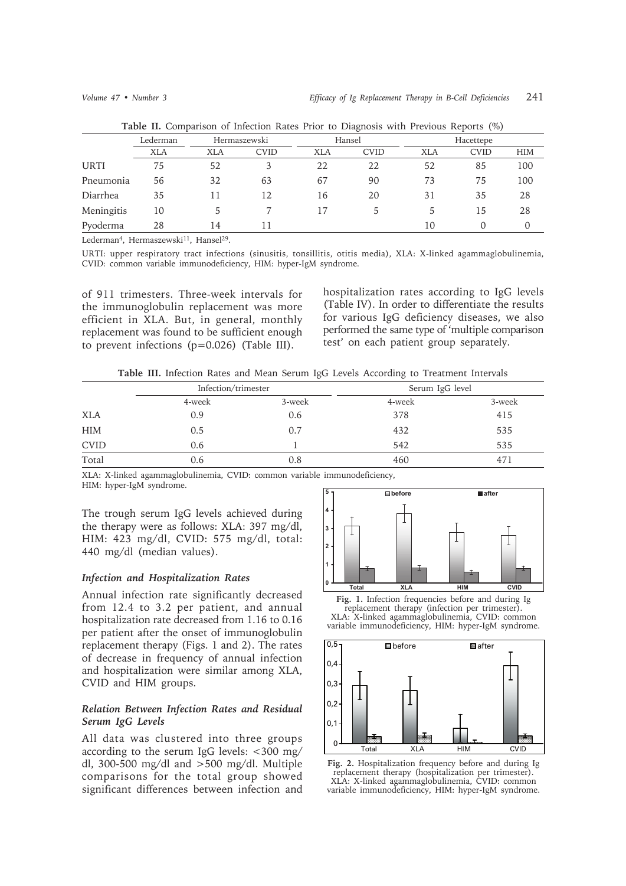|             |            |              | $\checkmark$ |            |             |            |                  |            |
|-------------|------------|--------------|--------------|------------|-------------|------------|------------------|------------|
|             | Lederman   | Hermaszewski |              | Hansel     |             | Hacettepe  |                  |            |
|             | <b>XLA</b> | <b>XLA</b>   | <b>CVID</b>  | <b>XLA</b> | <b>CVID</b> | <b>XLA</b> | <b>CVID</b>      | <b>HIM</b> |
| <b>URTI</b> | 75         | 52           | 3            | 22         | 22          | 52         | 85               | 100        |
| Pneumonia   | 56         | 32           | 63           | 67         | 90          | 73         | 75               | 100        |
| Diarrhea    | 35         |              | 12           | 16         | 20          | 31         | 35               | 28         |
| Meningitis  | 10         |              |              |            | 5.          | 5          | 15               | 28         |
| Pyoderma    | 28         | 14           | 11           |            |             | 10         | $\left( \right)$ | 0          |
|             |            |              |              |            |             |            |                  |            |

**Table II.** Comparison of Infection Rates Prior to Diagnosis with Previous Reports (%)

Lederman<sup>4</sup>, Hermaszewski<sup>11</sup>, Hansel<sup>29</sup>.

URTI: upper respiratory tract infections (sinusitis, tonsillitis, otitis media), XLA: X-linked agammaglobulinemia, CVID: common variable immunodeficiency, HIM: hyper-IgM syndrome.

of 911 trimesters. Three-week intervals for the immunoglobulin replacement was more efficient in XLA. But, in general, monthly replacement was found to be sufficient enough to prevent infections (p=0.026) (Table III).

hospitalization rates according to IgG levels (Table IV). In order to differentiate the results for various IgG deficiency diseases, we also performed the same type of 'multiple comparison test' on each patient group separately.

**Table III.** Infection Rates and Mean Serum IgG Levels According to Treatment Intervals

|             | Infection/trimester |        | Serum IgG level |        |  |
|-------------|---------------------|--------|-----------------|--------|--|
|             | 4-week              | 3-week | 4-week          | 3-week |  |
| <b>XLA</b>  | 0.9                 | 0.6    | 378             | 415    |  |
| <b>HIM</b>  | 0.5                 | 0.7    | 432             | 535    |  |
| <b>CVID</b> | 0.6                 |        | 542             | 535    |  |
| Total       | 0.6                 | 0.8    | 460             | 471    |  |

XLA: X-linked agammaglobulinemia, CVID: common variable immunodeficiency, HIM: hyper-IgM syndrome.

The trough serum IgG levels achieved during the therapy were as follows: XLA: 397 mg/dl, HIM: 423 mg/dl, CVID: 575 mg/dl, total: 440 mg/dl (median values).

#### *Infection and Hospitalization Rates*

Annual infection rate significantly decreased from 12.4 to 3.2 per patient, and annual hospitalization rate decreased from 1.16 to 0.16 per patient after the onset of immunoglobulin replacement therapy (Figs. 1 and 2). The rates of decrease in frequency of annual infection and hospitalization were similar among XLA, CVID and HIM groups.

# *Relation Between Infection Rates and Residual Serum IgG Levels*

All data was clustered into three groups according to the serum IgG levels: <300 mg/ dl, 300-500 mg/dl and >500 mg/dl. Multiple comparisons for the total group showed significant differences between infection and



**Fig. 1.** Infection frequencies before and during Ig replacement therapy (infection per trimester). XLA: X-linked agammaglobulinemia, CVID: common variable immunodeficiency, HIM: hyper-IgM syndrome.



**Fig. 2.** Hospitalization frequency before and during Ig replacement therapy (hospitalization per trimester). XLA: X-linked agammaglobulinemia, CVID: common variable immunodeficiency, HIM: hyper-IgM syndrome.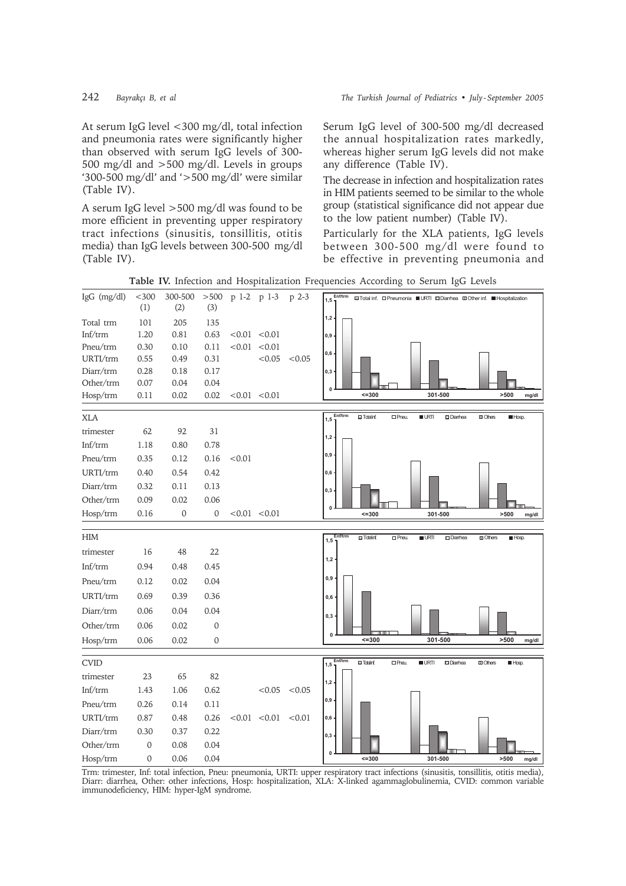At serum IgG level <300 mg/dl, total infection and pneumonia rates were significantly higher than observed with serum IgG levels of 300-500 mg/dl and  $>$ 500 mg/dl. Levels in groups '300-500 mg/dl' and ' $>$ 500 mg/dl' were similar (Table IV).

A serum IgG level > 500 mg/dl was found to be more efficient in preventing upper respiratory tract infections (sinusitis, tonsillitis, otitis media) than IgG levels between 300-500 mg/dl (Table IV).

Serum IgG level of 300-500 mg/dl decreased the annual hospitalization rates markedly, whereas higher serum IgG levels did not make any difference (Table IV).

The decrease in infection and hospitalization rates in HIM patients seemed to be similar to the whole group (statistical significance did not appear due to the low patient number) (Table IV).

Particularly for the XLA patients, IgG levels between 300-500 mg/dl were found to be effective in preventing pneumonia and

Table IV. Infection and Hospitalization Frequencies According to Serum IgG Levels 300-500  $>500$ p 1-2 p 1-3 p 2-3 IgG (mg/dl)  $<300$ **■Total inf.** O Pneumonia ■URTI ■Diarrhea ■Other inf. ■Hospitalization  $(1)$  $(2)$  $(3)$ Total trm 101 205 135  $Inf/trm$  $1.20$ 0.81  $0.63$  $< 0.01 < 0.01$ Pneu/trm  $0.30$  $0.10$  $< 0.01$   $< 0.01$  $0.11$ URTI/trm  $< 0.05$  $0.55$ 0.49  $0.31$  $< 0.05$ Diarr/trm  $0.28$  $0.18$  $0.17$ Other/trm  $0.07$ 0.04 0.04 Hosp/trm  $0.11$  $0.02$  $0.02$  $< 0.01$   $< 0.01$  $\overline{5}$ 301-500  $>500$ XLA  $\Box$ Totalinf  $n$ Pneu  $\blacksquare$ LRT **Diames**  $\Box$  Ohes  $H$  Hosp  $1, 5$ 62 92 31 trimester 0.78  $Inf/trm$ 1.18 0.80 Pneu/trm  $0.35$  $0.16$  $< 0.01$  $0.12$ URTI/trm  $0.40$ 0.54  $0.42$ Diarr/trm  $0.32$  $0.11$  $0.13$ Other/trm  $0.09$  $0.02$  $0.06$ Hosp/trm  $\mathbf{0}$  $\mathbf 0$  $< 0.01$   $< 0.01$  $0.16$  $52 - 300$ 301-500  $>500$ **HIM**  $\square$  Dia  $\Box$  Totalin  $\square$ Pne  $URT$  $H \to \infty$  $1.5$ trimester 16 48  $\mathfrak{D}$  $1.2$  $Inf/trm$ 0.94 0.48  $0.45$ Pneu/trm  $0.12$  $0.02$ 0.04 URTI/trm 0.69 0.39 0.36 Diarr/trm 0.06 0.04 0.04 Other/trm  $0.06$  $0.02$  $\overline{0}$ Hosp/trm  $0.06$  $0.02$  $\Omega$  $\overline{5}$ 301-500  $>500$  $mg/dl$ **CVID**  $\overline{\blacksquare}$  $\overline{\Box P}$  $\overline{\phantom{1}}$  URTI Diamhea  $\overline{\mathbb{I}^{\text{Others}}}$  $\overline{\blacksquare}$  $1.5$  $2<sub>3</sub>$ 82 trimester 65  $Inf/trm$ 1.43 1.06  $0.62$  $<0.05$  $< 0.05$ Pneu/trm  $0.26$  $011$  $0.14$ URTI/trm 0.87 0.48 0.26  $< 0.01$  $< 0.01$  $< 0.01$ Diarr/trm  $0.30$  $0.37$  $0.22$ Other/trm  $\Omega$  $0.08$  $0.04$ Hosp/trm  $\Omega$  $0.06$ 0.04  $301 - 500$  $\overline{\phantom{0}}$ Trm: trimester, Inf: total infection, Pneu: pneumonia, URTI: upper respiratory tract infections (sinusitis, tonsillitis, otitis media), Diarr: diarrhea, Other: other infections, Hosp: hospitalization, XLA: X-linked agammaglobulinemia, CVID: common variable immunodeficiency, HIM: hyper-IgM syndrome.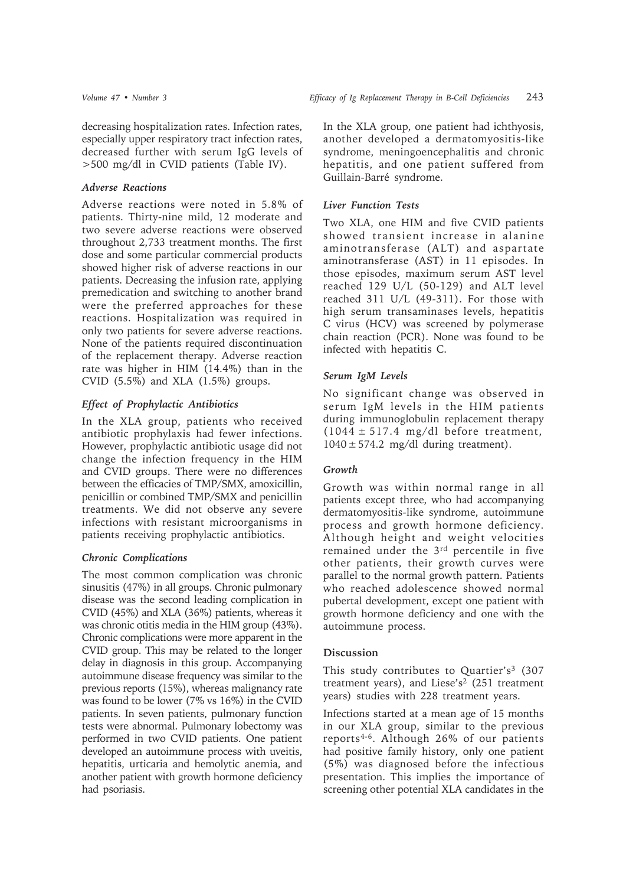decreasing hospitalization rates. Infection rates, especially upper respiratory tract infection rates, decreased further with serum IgG levels of >500 mg/dl in CVID patients (Table IV).

# *Adverse Reactions*

Adverse reactions were noted in 5.8% of patients. Thirty-nine mild, 12 moderate and two severe adverse reactions were observed throughout 2,733 treatment months. The first dose and some particular commercial products showed higher risk of adverse reactions in our patients. Decreasing the infusion rate, applying premedication and switching to another brand were the preferred approaches for these reactions. Hospitalization was required in only two patients for severe adverse reactions. None of the patients required discontinuation of the replacement therapy. Adverse reaction rate was higher in HIM (14.4%) than in the CVID  $(5.5\%)$  and XLA  $(1.5\%)$  groups.

## *Effect of Prophylactic Antibiotics*

In the XLA group, patients who received antibiotic prophylaxis had fewer infections. However, prophylactic antibiotic usage did not change the infection frequency in the HIM and CVID groups. There were no differences between the efficacies of TMP/SMX, amoxicillin, penicillin or combined TMP/SMX and penicillin treatments. We did not observe any severe infections with resistant microorganisms in patients receiving prophylactic antibiotics.

# *Chronic Complications*

The most common complication was chronic sinusitis (47%) in all groups. Chronic pulmonary disease was the second leading complication in CVID (45%) and XLA (36%) patients, whereas it was chronic otitis media in the HIM group (43%). Chronic complications were more apparent in the CVID group. This may be related to the longer delay in diagnosis in this group. Accompanying autoimmune disease frequency was similar to the previous reports (15%), whereas malignancy rate was found to be lower (7% vs 16%) in the CVID patients. In seven patients, pulmonary function tests were abnormal. Pulmonary lobectomy was performed in two CVID patients. One patient developed an autoimmune process with uveitis, hepatitis, urticaria and hemolytic anemia, and another patient with growth hormone deficiency had psoriasis.

In the XLA group, one patient had ichthyosis, another developed a dermatomyositis-like syndrome, meningoencephalitis and chronic hepatitis, and one patient suffered from Guillain-Barré syndrome.

# *Liver Function Tests*

Two XLA, one HIM and five CVID patients showed transient increase in alanine aminotransferase (ALT) and aspartate aminotransferase (AST) in 11 episodes. In those episodes, maximum serum AST level reached 129 U/L (50-129) and ALT level reached 311 U/L (49-311). For those with high serum transaminases levels, hepatitis C virus (HCV) was screened by polymerase chain reaction (PCR). None was found to be infected with hepatitis C.

# *Serum IgM Levels*

No significant change was observed in serum IgM levels in the HIM patients during immunoglobulin replacement therapy  $(1044 \pm 517.4 \text{ mg/dl})$  before treatment,  $1040 \pm 574.2$  mg/dl during treatment).

#### *Growth*

Growth was within normal range in all patients except three, who had accompanying dermatomyositis-like syndrome, autoimmune process and growth hormone deficiency. Although height and weight velocities remained under the 3rd percentile in five other patients, their growth curves were parallel to the normal growth pattern. Patients who reached adolescence showed normal pubertal development, except one patient with growth hormone deficiency and one with the autoimmune process.

#### **Discussion**

This study contributes to Quartier's<sup>3</sup> (307) treatment years), and Liese's<sup>2</sup> (251 treatment years) studies with 228 treatment years.

Infections started at a mean age of 15 months in our XLA group, similar to the previous reports4-6. Although 26% of our patients had positive family history, only one patient (5%) was diagnosed before the infectious presentation. This implies the importance of screening other potential XLA candidates in the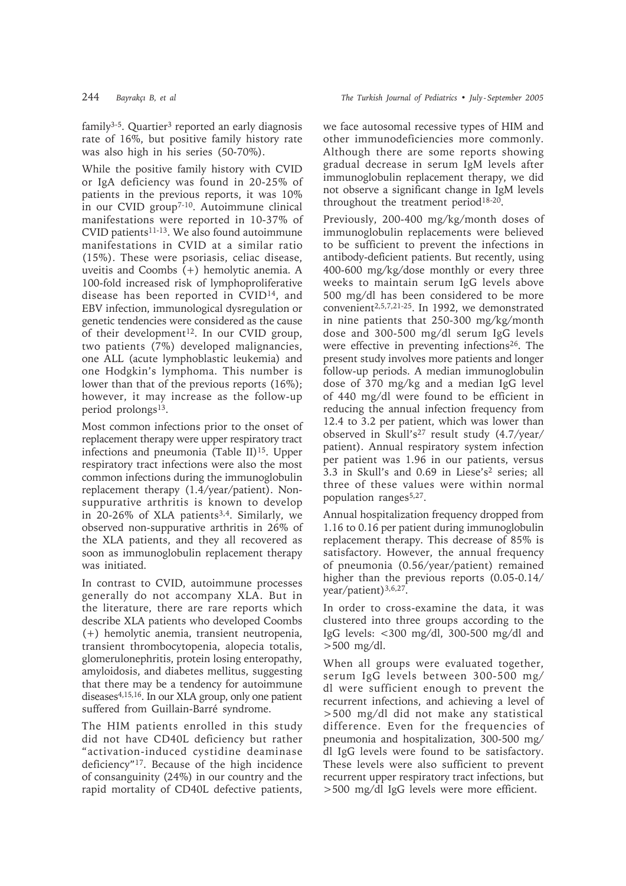$family<sup>3-5</sup>$ . Quartier<sup>3</sup> reported an early diagnosis rate of 16%, but positive family history rate was also high in his series (50-70%).

While the positive family history with CVID or IgA deficiency was found in 20-25% of patients in the previous reports, it was 10% in our CVID group<sup>7-10</sup>. Autoimmune clinical manifestations were reported in 10-37% of  $CVID$  patients<sup>11-13</sup>. We also found autoimmune manifestations in CVID at a similar ratio (15%). These were psoriasis, celiac disease, uveitis and Coombs (+) hemolytic anemia. A 100-fold increased risk of lymphoproliferative disease has been reported in CVID14, and EBV infection, immunological dysregulation or genetic tendencies were considered as the cause of their development<sup>12</sup>. In our CVID group, two patients (7%) developed malignancies, one ALL (acute lymphoblastic leukemia) and one Hodgkin's lymphoma. This number is lower than that of the previous reports (16%); however, it may increase as the follow-up period prolongs<sup>13</sup>.

Most common infections prior to the onset of replacement therapy were upper respiratory tract infections and pneumonia (Table II)<sup>15</sup>. Upper respiratory tract infections were also the most common infections during the immunoglobulin replacement therapy (1.4/year/patient). Nonsuppurative arthritis is known to develop in 20-26% of XLA patients<sup>3,4</sup>. Similarly, we observed non-suppurative arthritis in 26% of the XLA patients, and they all recovered as soon as immunoglobulin replacement therapy was initiated.

In contrast to CVID, autoimmune processes generally do not accompany XLA. But in the literature, there are rare reports which describe XLA patients who developed Coombs (+) hemolytic anemia, transient neutropenia, transient thrombocytopenia, alopecia totalis, glomerulonephritis, protein losing enteropathy, amyloidosis, and diabetes mellitus, suggesting that there may be a tendency for autoimmune diseases4,15,16. In our XLA group, only one patient suffered from Guillain-Barré syndrome.

The HIM patients enrolled in this study did not have CD40L deficiency but rather "activation-induced cystidine deaminase deficiency"17. Because of the high incidence of consanguinity (24%) in our country and the rapid mortality of CD40L defective patients,

we face autosomal recessive types of HIM and other immunodeficiencies more commonly. Although there are some reports showing gradual decrease in serum IgM levels after immunoglobulin replacement therapy, we did not observe a significant change in IgM levels throughout the treatment period<sup>18-20</sup>.

Previously, 200-400 mg/kg/month doses of immunoglobulin replacements were believed to be sufficient to prevent the infections in antibody-deficient patients. But recently, using 400-600 mg/kg/dose monthly or every three weeks to maintain serum IgG levels above 500 mg/dl has been considered to be more convenient2,5,7,21-25. In 1992, we demonstrated in nine patients that 250-300 mg/kg/month dose and 300-500 mg/dl serum IgG levels were effective in preventing infections<sup>26</sup>. The present study involves more patients and longer follow-up periods. A median immunoglobulin dose of 370 mg/kg and a median IgG level of 440 mg/dl were found to be efficient in reducing the annual infection frequency from 12.4 to 3.2 per patient, which was lower than observed in Skull's27 result study (4.7/year/ patient). Annual respiratory system infection per patient was 1.96 in our patients, versus 3.3 in Skull's and 0.69 in Liese's2 series; all three of these values were within normal population ranges<sup>5,27</sup>.

Annual hospitalization frequency dropped from 1.16 to 0.16 per patient during immunoglobulin replacement therapy. This decrease of 85% is satisfactory. However, the annual frequency of pneumonia (0.56/year/patient) remained higher than the previous reports  $(0.05-0.14/$ year/patient)3,6,27.

In order to cross-examine the data, it was clustered into three groups according to the IgG levels: <300 mg/dl, 300-500 mg/dl and  $>500$  mg/dl.

When all groups were evaluated together, serum IgG levels between 300-500 mg/ dl were sufficient enough to prevent the recurrent infections, and achieving a level of >500 mg/dl did not make any statistical difference. Even for the frequencies of pneumonia and hospitalization, 300-500 mg/ dl IgG levels were found to be satisfactory. These levels were also sufficient to prevent recurrent upper respiratory tract infections, but >500 mg/dl IgG levels were more efficient.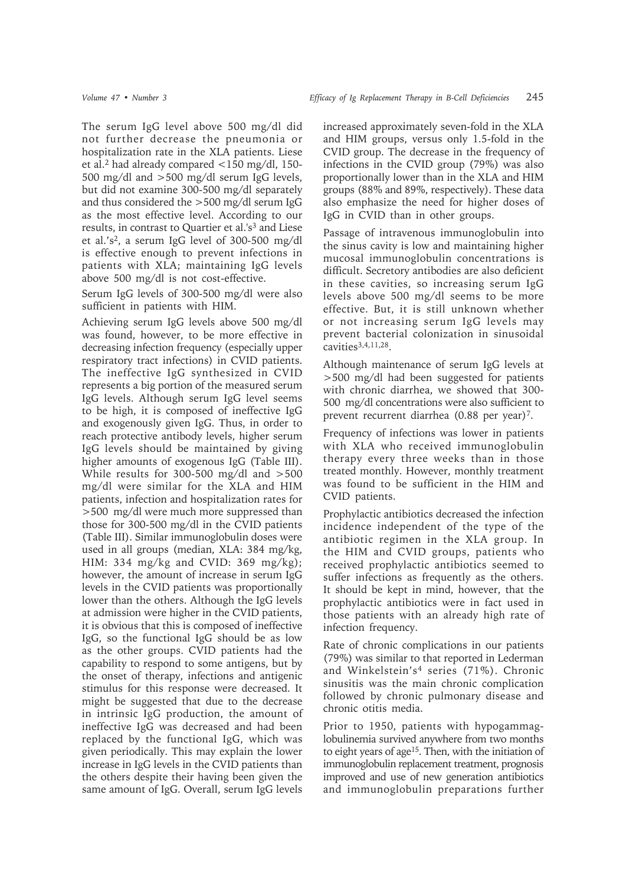The serum IgG level above 500 mg/dl did not further decrease the pneumonia or hospitalization rate in the XLA patients. Liese et al.2 had already compared <150 mg/dl, 150- 500 mg/dl and >500 mg/dl serum IgG levels, but did not examine 300-500 mg/dl separately and thus considered the >500 mg/dl serum IgG as the most effective level. According to our results, in contrast to Quartier et al.'s<sup>3</sup> and Liese et al.'s2, a serum IgG level of 300-500 mg/dl is effective enough to prevent infections in patients with XLA; maintaining IgG levels above 500 mg/dl is not cost-effective.

Serum IgG levels of 300-500 mg/dl were also sufficient in patients with HIM.

Achieving serum IgG levels above 500 mg/dl was found, however, to be more effective in decreasing infection frequency (especially upper respiratory tract infections) in CVID patients. The ineffective IgG synthesized in CVID represents a big portion of the measured serum IgG levels. Although serum IgG level seems to be high, it is composed of ineffective IgG and exogenously given IgG. Thus, in order to reach protective antibody levels, higher serum IgG levels should be maintained by giving higher amounts of exogenous IgG (Table III). While results for 300-500 mg/dl and >500 mg/dl were similar for the XLA and HIM patients, infection and hospitalization rates for >500 mg/dl were much more suppressed than those for 300-500 mg/dl in the CVID patients (Table III). Similar immunoglobulin doses were used in all groups (median, XLA: 384 mg/kg, HIM: 334 mg/kg and CVID: 369 mg/kg); however, the amount of increase in serum IgG levels in the CVID patients was proportionally lower than the others. Although the IgG levels at admission were higher in the CVID patients, it is obvious that this is composed of ineffective IgG, so the functional IgG should be as low as the other groups. CVID patients had the capability to respond to some antigens, but by the onset of therapy, infections and antigenic stimulus for this response were decreased. It might be suggested that due to the decrease in intrinsic IgG production, the amount of ineffective IgG was decreased and had been replaced by the functional IgG, which was given periodically. This may explain the lower increase in IgG levels in the CVID patients than the others despite their having been given the same amount of IgG. Overall, serum IgG levels

increased approximately seven-fold in the XLA and HIM groups, versus only 1.5-fold in the CVID group. The decrease in the frequency of infections in the CVID group (79%) was also proportionally lower than in the XLA and HIM groups (88% and 89%, respectively). These data also emphasize the need for higher doses of IgG in CVID than in other groups.

Passage of intravenous immunoglobulin into the sinus cavity is low and maintaining higher mucosal immunoglobulin concentrations is difficult. Secretory antibodies are also deficient in these cavities, so increasing serum IgG levels above 500 mg/dl seems to be more effective. But, it is still unknown whether or not increasing serum IgG levels may prevent bacterial colonization in sinusoidal cavities3,4,11,28.

Although maintenance of serum IgG levels at >500 mg/dl had been suggested for patients with chronic diarrhea, we showed that 300- 500 mg/dl concentrations were also sufficient to prevent recurrent diarrhea (0.88 per year)<sup>7</sup>.

Frequency of infections was lower in patients with XLA who received immunoglobulin therapy every three weeks than in those treated monthly. However, monthly treatment was found to be sufficient in the HIM and CVID patients.

Prophylactic antibiotics decreased the infection incidence independent of the type of the antibiotic regimen in the XLA group. In the HIM and CVID groups, patients who received prophylactic antibiotics seemed to suffer infections as frequently as the others. It should be kept in mind, however, that the prophylactic antibiotics were in fact used in those patients with an already high rate of infection frequency.

Rate of chronic complications in our patients (79%) was similar to that reported in Lederman and Winkelstein's4 series (71%). Chronic sinusitis was the main chronic complication followed by chronic pulmonary disease and chronic otitis media.

Prior to 1950, patients with hypogammaglobulinemia survived anywhere from two months to eight years of age<sup>15</sup>. Then, with the initiation of immunoglobulin replacement treatment, prognosis improved and use of new generation antibiotics and immunoglobulin preparations further